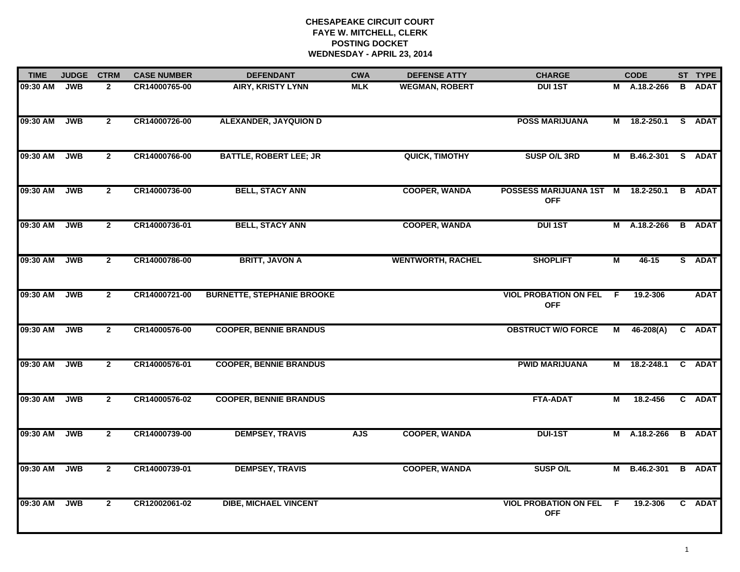| <b>TIME</b> | <b>JUDGE</b> | <b>CTRM</b>    | <b>CASE NUMBER</b> | <b>DEFENDANT</b>                  | <b>CWA</b> | <b>DEFENSE ATTY</b>      | <b>CHARGE</b>                              |     | <b>CODE</b>   |   | ST TYPE       |
|-------------|--------------|----------------|--------------------|-----------------------------------|------------|--------------------------|--------------------------------------------|-----|---------------|---|---------------|
| 09:30 AM    | <b>JWB</b>   | $\mathbf{2}$   | CR14000765-00      | <b>AIRY, KRISTY LYNN</b>          | <b>MLK</b> | <b>WEGMAN, ROBERT</b>    | <b>DUI 1ST</b>                             |     | M A.18.2-266  | B | <b>ADAT</b>   |
| 09:30 AM    | <b>JWB</b>   | $\overline{2}$ | CR14000726-00      | <b>ALEXANDER, JAYQUION D</b>      |            |                          | <b>POSS MARIJUANA</b>                      |     | M 18.2-250.1  |   | S ADAT        |
| 09:30 AM    | <b>JWB</b>   | $\mathbf{2}$   | CR14000766-00      | <b>BATTLE, ROBERT LEE; JR</b>     |            | QUICK, TIMOTHY           | SUSP O/L 3RD                               |     | M B.46.2-301  |   | S ADAT        |
| 09:30 AM    | <b>JWB</b>   | $\mathbf{2}$   | CR14000736-00      | <b>BELL, STACY ANN</b>            |            | <b>COOPER, WANDA</b>     | POSSESS MARIJUANA 1ST M<br><b>OFF</b>      |     | 18.2-250.1    |   | <b>B</b> ADAT |
| 09:30 AM    | <b>JWB</b>   | $\overline{2}$ | CR14000736-01      | <b>BELL, STACY ANN</b>            |            | <b>COOPER, WANDA</b>     | <b>DUI 1ST</b>                             |     | M A.18.2-266  |   | <b>B</b> ADAT |
| 09:30 AM    | <b>JWB</b>   | $\overline{2}$ | CR14000786-00      | <b>BRITT, JAVON A</b>             |            | <b>WENTWORTH, RACHEL</b> | <b>SHOPLIFT</b>                            | М   | $46 - 15$     |   | S ADAT        |
| 09:30 AM    | <b>JWB</b>   | $\overline{2}$ | CR14000721-00      | <b>BURNETTE, STEPHANIE BROOKE</b> |            |                          | <b>VIOL PROBATION ON FEL</b><br><b>OFF</b> | F.  | 19.2-306      |   | <b>ADAT</b>   |
| 09:30 AM    | <b>JWB</b>   | $\mathbf{2}$   | CR14000576-00      | <b>COOPER, BENNIE BRANDUS</b>     |            |                          | <b>OBSTRUCT W/O FORCE</b>                  | М   | $46 - 208(A)$ |   | C ADAT        |
| 09:30 AM    | <b>JWB</b>   | $\mathbf{2}$   | CR14000576-01      | <b>COOPER, BENNIE BRANDUS</b>     |            |                          | <b>PWID MARIJUANA</b>                      |     | M 18.2-248.1  |   | C ADAT        |
| 09:30 AM    | <b>JWB</b>   | $\overline{2}$ | CR14000576-02      | <b>COOPER, BENNIE BRANDUS</b>     |            |                          | <b>FTA-ADAT</b>                            | М   | 18.2-456      |   | C ADAT        |
| 09:30 AM    | <b>JWB</b>   | $\overline{2}$ | CR14000739-00      | <b>DEMPSEY, TRAVIS</b>            | <b>AJS</b> | <b>COOPER, WANDA</b>     | <b>DUI-1ST</b>                             |     | M A.18.2-266  |   | <b>B</b> ADAT |
| 09:30 AM    | <b>JWB</b>   | $\mathbf{2}$   | CR14000739-01      | <b>DEMPSEY, TRAVIS</b>            |            | <b>COOPER, WANDA</b>     | <b>SUSP O/L</b>                            |     | M B.46.2-301  |   | <b>B</b> ADAT |
| 09:30 AM    | <b>JWB</b>   | $\mathbf{2}$   | CR12002061-02      | <b>DIBE, MICHAEL VINCENT</b>      |            |                          | <b>VIOL PROBATION ON FEL</b><br><b>OFF</b> | - F | 19.2-306      |   | C ADAT        |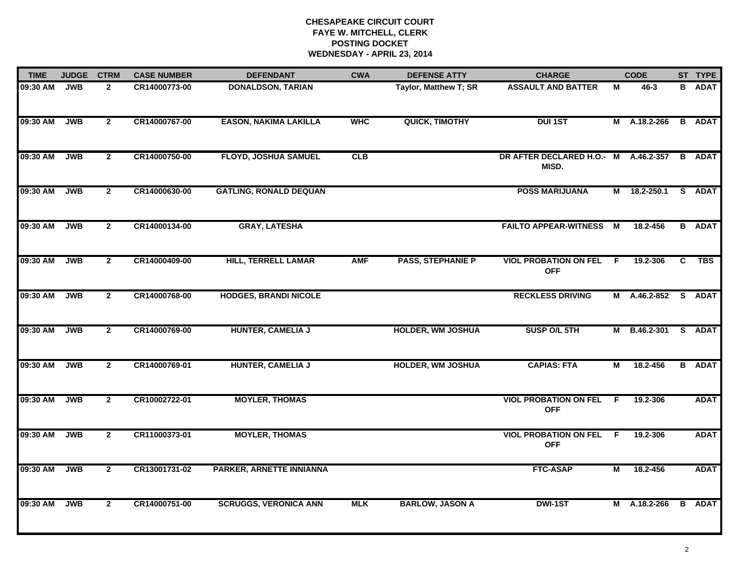| <b>TIME</b> | <b>JUDGE</b> | <b>CTRM</b>    | <b>CASE NUMBER</b> | <b>DEFENDANT</b>              | <b>CWA</b> | <b>DEFENSE ATTY</b>      | <b>CHARGE</b>                                 |    | <b>CODE</b>         |    | ST TYPE       |
|-------------|--------------|----------------|--------------------|-------------------------------|------------|--------------------------|-----------------------------------------------|----|---------------------|----|---------------|
| 09:30 AM    | <b>JWB</b>   | $\overline{2}$ | CR14000773-00      | <b>DONALDSON, TARIAN</b>      |            | Taylor, Matthew T; SR    | <b>ASSAULT AND BATTER</b>                     | M  | $46 - 3$            | B. | <b>ADAT</b>   |
| 09:30 AM    | JWB          | $\overline{2}$ | CR14000767-00      | <b>EASON, NAKIMA LAKILLA</b>  | <b>WHC</b> | QUICK, TIMOTHY           | <b>DUI 1ST</b>                                |    | M A.18.2-266        |    | <b>B</b> ADAT |
| 09:30 AM    | <b>JWB</b>   | $\overline{2}$ | CR14000750-00      | <b>FLOYD, JOSHUA SAMUEL</b>   | CLB        |                          | DR AFTER DECLARED H.O.- M A.46.2-357<br>MISD. |    |                     |    | <b>B</b> ADAT |
| 09:30 AM    | <b>JWB</b>   | $\overline{2}$ | CR14000630-00      | <b>GATLING, RONALD DEQUAN</b> |            |                          | <b>POSS MARIJUANA</b>                         | М  | 18.2-250.1          | S. | <b>ADAT</b>   |
| 09:30 AM    | <b>JWB</b>   | $\overline{2}$ | CR14000134-00      | <b>GRAY, LATESHA</b>          |            |                          | <b>FAILTO APPEAR-WITNESS</b>                  | M  | 18.2-456            |    | <b>B</b> ADAT |
| 09:30 AM    | <b>JWB</b>   | $\mathbf{2}$   | CR14000409-00      | <b>HILL, TERRELL LAMAR</b>    | <b>AMF</b> | <b>PASS, STEPHANIE P</b> | <b>VIOL PROBATION ON FEL</b><br><b>OFF</b>    | F. | 19.2-306            | C. | TBS           |
| 09:30 AM    | JWB          | $\overline{2}$ | CR14000768-00      | <b>HODGES, BRANDI NICOLE</b>  |            |                          | <b>RECKLESS DRIVING</b>                       |    | M A.46.2-852 S ADAT |    |               |
| 09:30 AM    | <b>JWB</b>   | $\overline{2}$ | CR14000769-00      | <b>HUNTER, CAMELIA J</b>      |            | <b>HOLDER, WM JOSHUA</b> | SUSP O/L 5TH                                  |    | M B.46.2-301        |    | S ADAT        |
| 09:30 AM    | <b>JWB</b>   | $\overline{2}$ | CR14000769-01      | <b>HUNTER, CAMELIA J</b>      |            | <b>HOLDER, WM JOSHUA</b> | <b>CAPIAS: FTA</b>                            | M  | 18.2-456            | B  | <b>ADAT</b>   |
| 09:30 AM    | <b>JWB</b>   | $\overline{2}$ | CR10002722-01      | <b>MOYLER, THOMAS</b>         |            |                          | <b>VIOL PROBATION ON FEL</b><br><b>OFF</b>    | F. | 19.2-306            |    | <b>ADAT</b>   |
| 09:30 AM    | <b>JWB</b>   | $\mathbf{2}$   | CR11000373-01      | <b>MOYLER, THOMAS</b>         |            |                          | <b>VIOL PROBATION ON FEL</b><br><b>OFF</b>    | F. | 19.2-306            |    | <b>ADAT</b>   |
| 09:30 AM    | <b>JWB</b>   | $\mathbf{2}$   | CR13001731-02      | PARKER, ARNETTE INNIANNA      |            |                          | <b>FTC-ASAP</b>                               | М  | 18.2-456            |    | <b>ADAT</b>   |
| 09:30 AM    | <b>JWB</b>   | $\overline{2}$ | CR14000751-00      | <b>SCRUGGS, VERONICA ANN</b>  | <b>MLK</b> | <b>BARLOW, JASON A</b>   | <b>DWI-1ST</b>                                |    | M A.18.2-266        |    | <b>B</b> ADAT |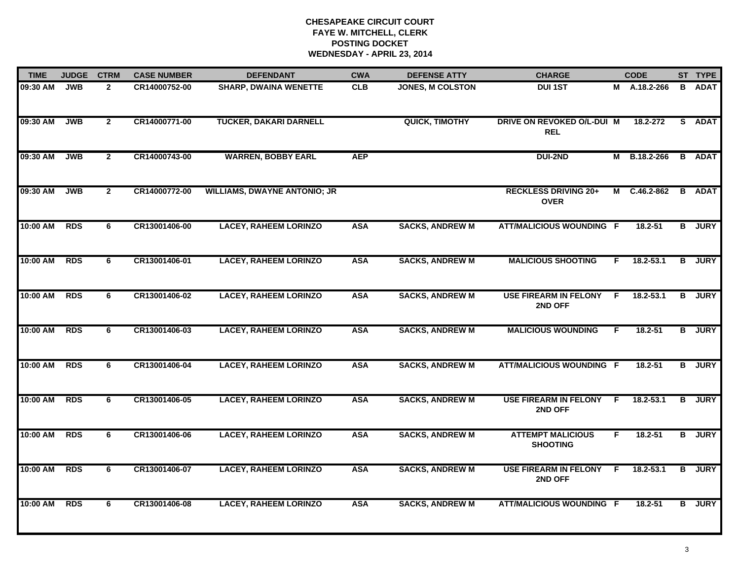| <b>TIME</b>  | <b>JUDGE</b> | <b>CTRM</b>    | <b>CASE NUMBER</b> | <b>DEFENDANT</b>                    | <b>CWA</b> | <b>DEFENSE ATTY</b>     | <b>CHARGE</b>                               |              | <b>CODE</b>   |   | ST TYPE       |
|--------------|--------------|----------------|--------------------|-------------------------------------|------------|-------------------------|---------------------------------------------|--------------|---------------|---|---------------|
| 09:30 AM     | <b>JWB</b>   | $\mathbf{2}$   | CR14000752-00      | <b>SHARP, DWAINA WENETTE</b>        | CLB        | <b>JONES, M COLSTON</b> | <b>DUI 1ST</b>                              |              | M A.18.2-266  | B | <b>ADAT</b>   |
| 09:30 AM     | <b>JWB</b>   | $\mathbf{2}$   | CR14000771-00      | <b>TUCKER, DAKARI DARNELL</b>       |            | QUICK, TIMOTHY          | DRIVE ON REVOKED O/L-DUI M<br><b>REL</b>    |              | 18.2-272      |   | S ADAT        |
| 09:30 AM     | <b>JWB</b>   | $\overline{2}$ | CR14000743-00      | <b>WARREN, BOBBY EARL</b>           | <b>AEP</b> |                         | DUI-2ND                                     | М            | B.18.2-266    |   | <b>B</b> ADAT |
| 09:30 AM     | <b>JWB</b>   | $\mathbf{2}$   | CR14000772-00      | <b>WILLIAMS, DWAYNE ANTONIO; JR</b> |            |                         | <b>RECKLESS DRIVING 20+</b><br><b>OVER</b>  |              | M C.46.2-862  |   | <b>B</b> ADAT |
| 10:00 AM     | <b>RDS</b>   | 6              | CR13001406-00      | <b>LACEY, RAHEEM LORINZO</b>        | <b>ASA</b> | <b>SACKS, ANDREW M</b>  | <b>ATT/MALICIOUS WOUNDING F</b>             |              | 18.2-51       |   | <b>B</b> JURY |
| 10:00 AM RDS |              | 6              | CR13001406-01      | <b>LACEY, RAHEEM LORINZO</b>        | <b>ASA</b> | <b>SACKS, ANDREW M</b>  | <b>MALICIOUS SHOOTING</b>                   | F.           | $18.2 - 53.1$ | B | <b>JURY</b>   |
| 10:00 AM RDS |              | 6              | CR13001406-02      | <b>LACEY, RAHEEM LORINZO</b>        | <b>ASA</b> | <b>SACKS, ANDREW M</b>  | <b>USE FIREARM IN FELONY</b><br>2ND OFF     | - F          | 18.2-53.1     | B | <b>JURY</b>   |
| 10:00 AM     | <b>RDS</b>   | $\overline{6}$ | CR13001406-03      | <b>LACEY, RAHEEM LORINZO</b>        | <b>ASA</b> | <b>SACKS, ANDREW M</b>  | <b>MALICIOUS WOUNDING</b>                   | F.           | $18.2 - 51$   |   | <b>B</b> JURY |
| 10:00 AM     | <b>RDS</b>   | 6              | CR13001406-04      | <b>LACEY, RAHEEM LORINZO</b>        | <b>ASA</b> | <b>SACKS, ANDREW M</b>  | <b>ATT/MALICIOUS WOUNDING F</b>             |              | 18.2-51       | B | <b>JURY</b>   |
| 10:00 AM     | <b>RDS</b>   | 6              | CR13001406-05      | <b>LACEY, RAHEEM LORINZO</b>        | <b>ASA</b> | <b>SACKS, ANDREW M</b>  | <b>USE FIREARM IN FELONY</b><br>2ND OFF     | F.           | $18.2 - 53.1$ |   | <b>B</b> JURY |
| 10:00 AM RDS |              | 6              | CR13001406-06      | <b>LACEY, RAHEEM LORINZO</b>        | <b>ASA</b> | <b>SACKS, ANDREW M</b>  | <b>ATTEMPT MALICIOUS</b><br><b>SHOOTING</b> | F.           | $18.2 - 51$   |   | <b>B</b> JURY |
| 10:00 AM RDS |              | 6              | CR13001406-07      | <b>LACEY, RAHEEM LORINZO</b>        | <b>ASA</b> | <b>SACKS, ANDREW M</b>  | <b>USE FIREARM IN FELONY</b><br>2ND OFF     | $\mathsf{F}$ | 18.2-53.1     | B | <b>JURY</b>   |
| 10:00 AM     | <b>RDS</b>   | 6              | CR13001406-08      | <b>LACEY, RAHEEM LORINZO</b>        | <b>ASA</b> | <b>SACKS, ANDREW M</b>  | <b>ATT/MALICIOUS WOUNDING F</b>             |              | 18.2-51       |   | <b>B</b> JURY |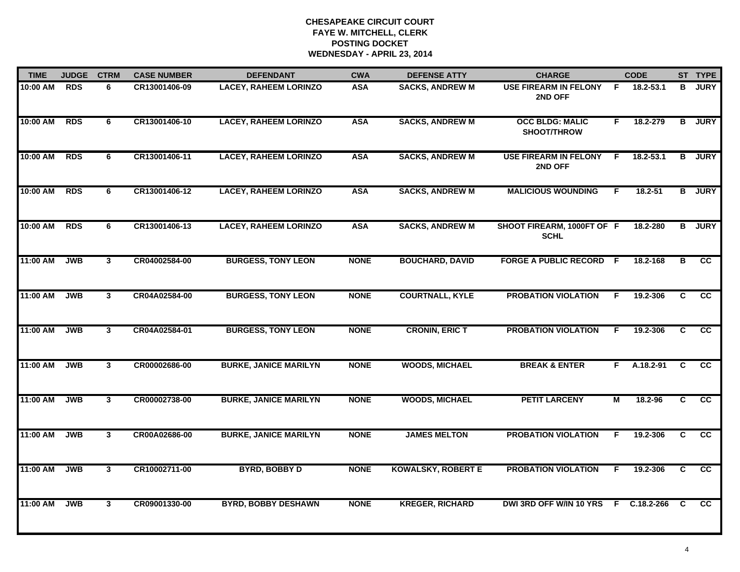| <b>TIME</b> | <b>JUDGE</b> | <b>CTRM</b>  | <b>CASE NUMBER</b> | <b>DEFENDANT</b>             | <b>CWA</b>  | <b>DEFENSE ATTY</b>       | <b>CHARGE</b>                             |     | <b>CODE</b>  |                | ST TYPE         |
|-------------|--------------|--------------|--------------------|------------------------------|-------------|---------------------------|-------------------------------------------|-----|--------------|----------------|-----------------|
| 10:00 AM    | <b>RDS</b>   | 6            | CR13001406-09      | <b>LACEY, RAHEEM LORINZO</b> | <b>ASA</b>  | <b>SACKS, ANDREW M</b>    | <b>USE FIREARM IN FELONY</b><br>2ND OFF   | -F. | 18.2-53.1    | в              | <b>JURY</b>     |
| 10:00 AM    | <b>RDS</b>   | 6            | CR13001406-10      | <b>LACEY, RAHEEM LORINZO</b> | <b>ASA</b>  | <b>SACKS, ANDREW M</b>    | <b>OCC BLDG: MALIC</b><br>SHOOT/THROW     | F.  | 18.2-279     | B              | <b>JURY</b>     |
| 10:00 AM    | <b>RDS</b>   | 6            | CR13001406-11      | <b>LACEY, RAHEEM LORINZO</b> | <b>ASA</b>  | <b>SACKS, ANDREW M</b>    | <b>USE FIREARM IN FELONY</b><br>2ND OFF   | F.  | 18.2-53.1    | B              | <b>JURY</b>     |
| 10:00 AM    | <b>RDS</b>   | 6            | CR13001406-12      | <b>LACEY, RAHEEM LORINZO</b> | <b>ASA</b>  | <b>SACKS, ANDREW M</b>    | <b>MALICIOUS WOUNDING</b>                 | F.  | 18.2-51      | B              | <b>JURY</b>     |
| 10:00 AM    | <b>RDS</b>   | 6            | CR13001406-13      | <b>LACEY, RAHEEM LORINZO</b> | <b>ASA</b>  | <b>SACKS, ANDREW M</b>    | SHOOT FIREARM, 1000FT OF F<br><b>SCHL</b> |     | 18.2-280     |                | <b>B</b> JURY   |
| 11:00 AM    | <b>JWB</b>   | $\mathbf{3}$ | CR04002584-00      | <b>BURGESS, TONY LEON</b>    | <b>NONE</b> | <b>BOUCHARD, DAVID</b>    | <b>FORGE A PUBLIC RECORD F</b>            |     | 18.2-168     | В              | CC              |
| 11:00 AM    | <b>JWB</b>   | $\mathbf{3}$ | CR04A02584-00      | <b>BURGESS, TONY LEON</b>    | <b>NONE</b> | <b>COURTNALL, KYLE</b>    | <b>PROBATION VIOLATION</b>                | F.  | 19.2-306     | C              | cc              |
| 11:00 AM    | <b>JWB</b>   | $\mathbf{3}$ | CR04A02584-01      | <b>BURGESS, TONY LEON</b>    | <b>NONE</b> | <b>CRONIN, ERIC T</b>     | <b>PROBATION VIOLATION</b>                | F   | 19.2-306     | C              | cc              |
| 11:00 AM    | <b>JWB</b>   | 3            | CR00002686-00      | <b>BURKE, JANICE MARILYN</b> | <b>NONE</b> | <b>WOODS, MICHAEL</b>     | <b>BREAK &amp; ENTER</b>                  | F.  | A.18.2-91    | C              | <b>CC</b>       |
| 11:00 AM    | <b>JWB</b>   | $\mathbf{3}$ | CR00002738-00      | <b>BURKE, JANICE MARILYN</b> | <b>NONE</b> | <b>WOODS, MICHAEL</b>     | <b>PETIT LARCENY</b>                      | М   | 18.2-96      | C.             | <b>CC</b>       |
| 11:00 AM    | <b>JWB</b>   | $\mathbf{3}$ | CR00A02686-00      | <b>BURKE, JANICE MARILYN</b> | <b>NONE</b> | <b>JAMES MELTON</b>       | <b>PROBATION VIOLATION</b>                | F.  | 19.2-306     | C              | $\overline{cc}$ |
| 11:00 AM    | <b>JWB</b>   | 3            | CR10002711-00      | <b>BYRD, BOBBY D</b>         | <b>NONE</b> | <b>KOWALSKY, ROBERT E</b> | <b>PROBATION VIOLATION</b>                | F.  | 19.2-306     | $\overline{c}$ | $\overline{cc}$ |
| 11:00 AM    | <b>JWB</b>   | $\mathbf{3}$ | CR09001330-00      | <b>BYRD, BOBBY DESHAWN</b>   | <b>NONE</b> | <b>KREGER, RICHARD</b>    | DWI 3RD OFF W/IN 10 YRS                   |     | F C.18.2-266 | <b>C</b>       | <b>CC</b>       |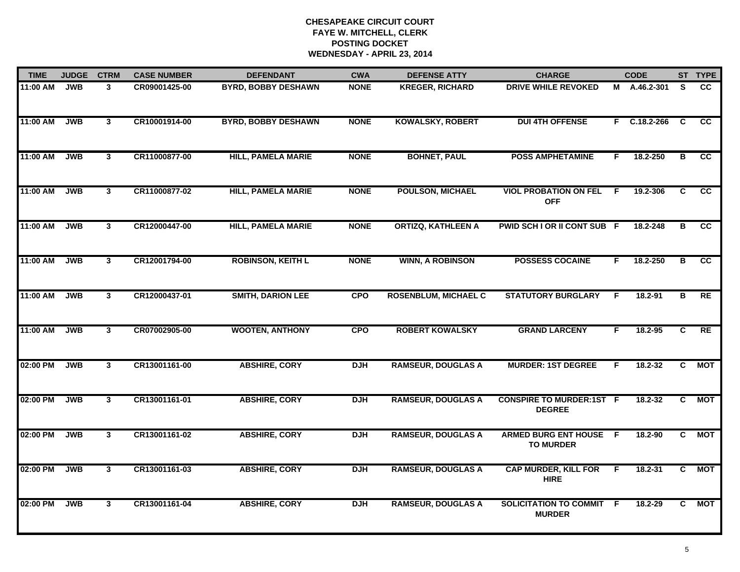| <b>TIME</b> | <b>JUDGE</b> | <b>CTRM</b>             | <b>CASE NUMBER</b> | <b>DEFENDANT</b>           | <b>CWA</b>  | <b>DEFENSE ATTY</b>         | <b>CHARGE</b>                                     |    | <b>CODE</b>    |                         | ST TYPE         |
|-------------|--------------|-------------------------|--------------------|----------------------------|-------------|-----------------------------|---------------------------------------------------|----|----------------|-------------------------|-----------------|
| 11:00 AM    | <b>JWB</b>   | $\mathbf{3}$            | CR09001425-00      | <b>BYRD, BOBBY DESHAWN</b> | <b>NONE</b> | <b>KREGER, RICHARD</b>      | <b>DRIVE WHILE REVOKED</b>                        |    | M A.46.2-301   | S.                      | CC              |
| 11:00 AM    | <b>JWB</b>   | $\mathbf{3}$            | CR10001914-00      | <b>BYRD, BOBBY DESHAWN</b> | <b>NONE</b> | <b>KOWALSKY, ROBERT</b>     | <b>DUI 4TH OFFENSE</b>                            | F. | $C.18.2 - 266$ | C                       | CC.             |
| 11:00 AM    | <b>JWB</b>   | $\overline{\mathbf{3}}$ | CR11000877-00      | <b>HILL, PAMELA MARIE</b>  | <b>NONE</b> | <b>BOHNET, PAUL</b>         | <b>POSS AMPHETAMINE</b>                           | F. | 18.2-250       | $\overline{\mathbf{B}}$ | $\overline{cc}$ |
| 11:00 AM    | <b>JWB</b>   | $\mathbf{3}$            | CR11000877-02      | <b>HILL, PAMELA MARIE</b>  | <b>NONE</b> | <b>POULSON, MICHAEL</b>     | <b>VIOL PROBATION ON FEL</b><br><b>OFF</b>        | E  | 19.2-306       | C.                      | <b>CC</b>       |
| 11:00 AM    | <b>JWB</b>   | $\mathbf{3}$            | CR12000447-00      | <b>HILL, PAMELA MARIE</b>  | <b>NONE</b> | <b>ORTIZQ, KATHLEEN A</b>   | PWID SCH I OR II CONT SUB F                       |    | 18.2-248       | В                       | cc              |
| 11:00 AM    | <b>JWB</b>   | $\mathbf{3}$            | CR12001794-00      | <b>ROBINSON, KEITH L</b>   | <b>NONE</b> | <b>WINN, A ROBINSON</b>     | <b>POSSESS COCAINE</b>                            | F. | 18.2-250       | В                       | $\overline{cc}$ |
| 11:00 AM    | <b>JWB</b>   | $\mathbf{3}$            | CR12000437-01      | <b>SMITH, DARION LEE</b>   | <b>CPO</b>  | <b>ROSENBLUM, MICHAEL C</b> | <b>STATUTORY BURGLARY</b>                         | F  | 18.2-91        | в                       | RE              |
| 11:00 AM    | <b>JWB</b>   | $\mathbf{3}$            | CR07002905-00      | <b>WOOTEN, ANTHONY</b>     | <b>CPO</b>  | <b>ROBERT KOWALSKY</b>      | <b>GRAND LARCENY</b>                              | F  | 18.2-95        | C                       | RE              |
| 02:00 PM    | <b>JWB</b>   | $\mathbf{3}$            | CR13001161-00      | <b>ABSHIRE, CORY</b>       | <b>DJH</b>  | <b>RAMSEUR, DOUGLAS A</b>   | <b>MURDER: 1ST DEGREE</b>                         | F  | $18.2 - 32$    | C                       | <b>MOT</b>      |
| 02:00 PM    | <b>JWB</b>   | $\mathbf{3}$            | CR13001161-01      | <b>ABSHIRE, CORY</b>       | <b>DJH</b>  | <b>RAMSEUR, DOUGLAS A</b>   | <b>CONSPIRE TO MURDER:1ST F</b><br><b>DEGREE</b>  |    | 18.2-32        | C                       | <b>MOT</b>      |
| 02:00 PM    | <b>JWB</b>   | 3                       | CR13001161-02      | <b>ABSHIRE, CORY</b>       | <b>DJH</b>  | <b>RAMSEUR, DOUGLAS A</b>   | <b>ARMED BURG ENT HOUSE F</b><br><b>TO MURDER</b> |    | 18.2-90        |                         | C MOT           |
| 02:00 PM    | <b>JWB</b>   | $\mathbf{3}$            | CR13001161-03      | <b>ABSHIRE, CORY</b>       | <b>DJH</b>  | <b>RAMSEUR, DOUGLAS A</b>   | <b>CAP MURDER, KILL FOR</b><br><b>HIRE</b>        | F. | $18.2 - 31$    | C.                      | <b>MOT</b>      |
| 02:00 PM    | <b>JWB</b>   | 3                       | CR13001161-04      | <b>ABSHIRE, CORY</b>       | <b>DJH</b>  | <b>RAMSEUR, DOUGLAS A</b>   | <b>SOLICITATION TO COMMIT F</b><br><b>MURDER</b>  |    | 18.2-29        | C.                      | <b>MOT</b>      |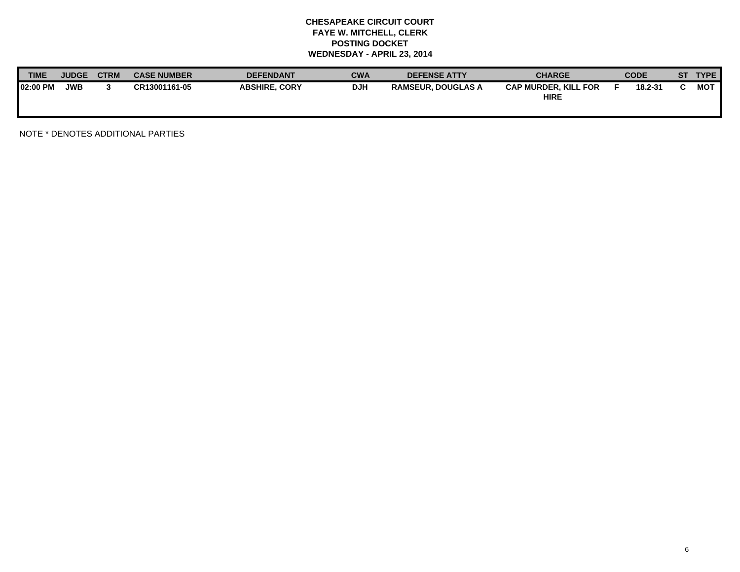| <b>TIME</b>     | <b>JUDGE</b> | <b>CTRM</b> | <b>CASE NUMBER</b> | <b>DEFENDANT</b>     | <b>CWA</b> | <b>DEFENSE ATTY</b>       | <b>CHARGE</b>                              | <b>CODE</b> | SТ | <b>TYPE</b> |
|-----------------|--------------|-------------|--------------------|----------------------|------------|---------------------------|--------------------------------------------|-------------|----|-------------|
| <b>02:00 PM</b> | <b>JWB</b>   |             | CR13001161-05      | <b>ABSHIRE, CORY</b> | <b>DJH</b> | <b>RAMSEUR. DOUGLAS A</b> | <b>CAP MURDER, KILL FOR</b><br><b>HIRE</b> | 18.2-31     |    | <b>MOT</b>  |

NOTE \* DENOTES ADDITIONAL PARTIES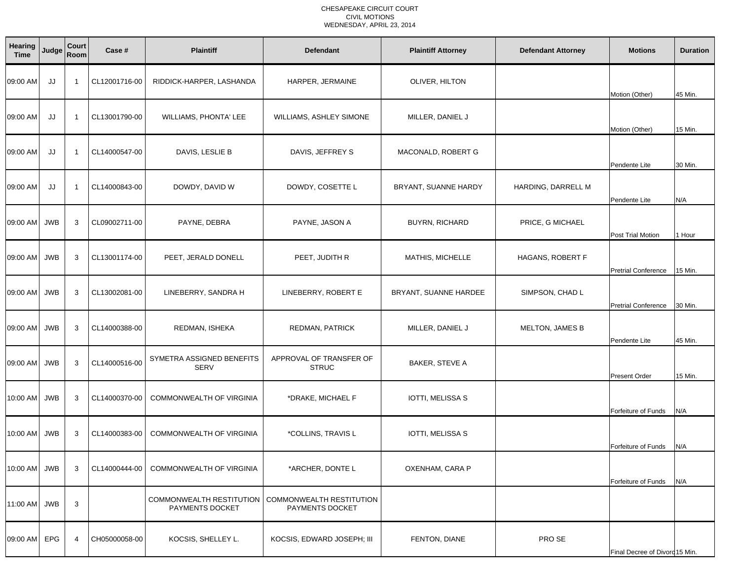#### CHESAPEAKE CIRCUIT COURT CIVIL MOTIONSWEDNESDAY, APRIL 23, 2014

| Hearing<br><b>Time</b> | Judge      | Court<br>Room  | Case #        | <b>Plaintiff</b>                            | <b>Defendant</b>                            | <b>Plaintiff Attorney</b> | <b>Defendant Attorney</b> | <b>Motions</b>                 | <b>Duration</b> |
|------------------------|------------|----------------|---------------|---------------------------------------------|---------------------------------------------|---------------------------|---------------------------|--------------------------------|-----------------|
| 09:00 AM               | JJ         | - 1            | CL12001716-00 | RIDDICK-HARPER, LASHANDA                    | HARPER, JERMAINE                            | OLIVER, HILTON            |                           | Motion (Other)                 | 45 Min.         |
| 09:00 AM               | JJ         | -1             | CL13001790-00 | WILLIAMS, PHONTA' LEE                       | WILLIAMS, ASHLEY SIMONE                     | MILLER, DANIEL J          |                           | Motion (Other)                 | 15 Min.         |
| 09:00 AM               | JJ         | -1             | CL14000547-00 | DAVIS, LESLIE B                             | DAVIS, JEFFREY S                            | MACONALD, ROBERT G        |                           | Pendente Lite                  | 30 Min.         |
| 09:00 AM               | JJ         | $\overline{1}$ | CL14000843-00 | DOWDY, DAVID W                              | DOWDY, COSETTE L                            | BRYANT, SUANNE HARDY      | HARDING, DARRELL M        | Pendente Lite                  | N/A             |
| 09:00 AM JWB           |            | 3              | CL09002711-00 | PAYNE, DEBRA                                | PAYNE, JASON A                              | <b>BUYRN, RICHARD</b>     | PRICE, G MICHAEL          | Post Trial Motion              | l Hour          |
| 09:00 AM               | <b>JWB</b> | 3              | CL13001174-00 | PEET, JERALD DONELL                         | PEET, JUDITH R                              | MATHIS, MICHELLE          | HAGANS, ROBERT F          | <b>Pretrial Conference</b>     | 15 Min.         |
| 09:00 AM JWB           |            | 3              | CL13002081-00 | LINEBERRY, SANDRA H                         | LINEBERRY, ROBERT E                         | BRYANT, SUANNE HARDEE     | SIMPSON, CHAD L           | <b>Pretrial Conference</b>     | 30 Min.         |
| 09:00 AM JWB           |            | 3              | CL14000388-00 | REDMAN, ISHEKA                              | REDMAN, PATRICK                             | MILLER, DANIEL J          | <b>MELTON, JAMES B</b>    | Pendente Lite                  | 45 Min.         |
| 09:00 AM JWB           |            | 3              | CL14000516-00 | SYMETRA ASSIGNED BENEFITS<br><b>SERV</b>    | APPROVAL OF TRANSFER OF<br><b>STRUC</b>     | BAKER, STEVE A            |                           | <b>Present Order</b>           | 15 Min.         |
| 10:00 AM JWB           |            | 3              | CL14000370-00 | COMMONWEALTH OF VIRGINIA                    | *DRAKE, MICHAEL F                           | IOTTI, MELISSA S          |                           | Forfeiture of Funds            | N/A             |
| 10:00 AM JWB           |            | 3              | CL14000383-00 | COMMONWEALTH OF VIRGINIA                    | *COLLINS, TRAVIS L                          | <b>IOTTI, MELISSA S</b>   |                           | Forfeiture of Funds            | N/A             |
| 10:00 AM JWB           |            | 3              | CL14000444-00 | <b>COMMONWEALTH OF VIRGINIA</b>             | *ARCHER, DONTE L                            | OXENHAM, CARA P           |                           | Forfeiture of Funds            | N/A             |
| 11:00 AM JWB           |            | 3              |               | COMMONWEALTH RESTITUTION<br>PAYMENTS DOCKET | COMMONWEALTH RESTITUTION<br>PAYMENTS DOCKET |                           |                           |                                |                 |
| 09:00 AM EPG           |            | 4              | CH05000058-00 | KOCSIS, SHELLEY L.                          | KOCSIS, EDWARD JOSEPH; III                  | FENTON, DIANE             | PRO SE                    | Final Decree of Divord 15 Min. |                 |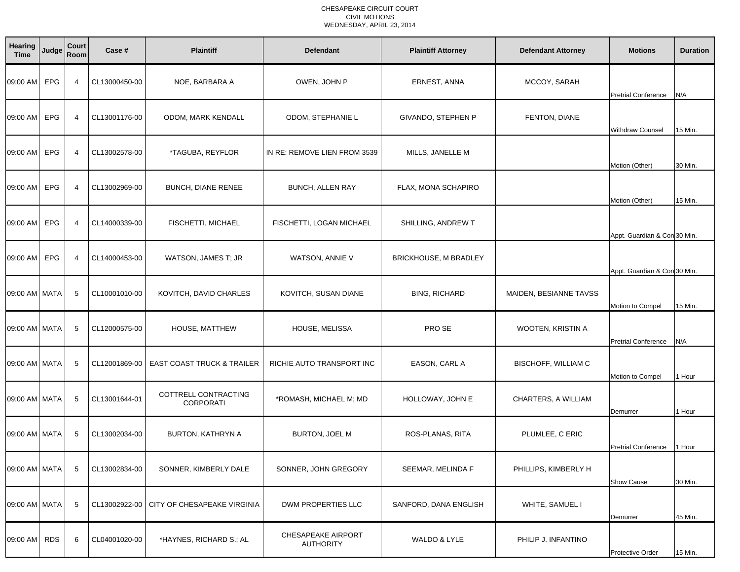#### CHESAPEAKE CIRCUIT COURT CIVIL MOTIONSWEDNESDAY, APRIL 23, 2014

| <b>Hearing</b><br><b>Time</b> | Judge      | Court<br>Room  | Case #        | <b>Plaintiff</b>                         | <b>Defendant</b>                       | <b>Plaintiff Attorney</b>    | <b>Defendant Attorney</b> | <b>Motions</b>               | <b>Duration</b> |
|-------------------------------|------------|----------------|---------------|------------------------------------------|----------------------------------------|------------------------------|---------------------------|------------------------------|-----------------|
| 09:00 AM EPG                  |            | $\overline{4}$ | CL13000450-00 | NOE, BARBARA A                           | OWEN, JOHN P                           | ERNEST, ANNA                 | MCCOY, SARAH              | <b>Pretrial Conference</b>   | N/A             |
| 09:00 AM                      | <b>EPG</b> | $\overline{4}$ | CL13001176-00 | ODOM, MARK KENDALL                       | ODOM, STEPHANIE L                      | GIVANDO, STEPHEN P           | FENTON, DIANE             | <b>Withdraw Counsel</b>      | 15 Min.         |
| 09:00 AM EPG                  |            | $\overline{4}$ | CL13002578-00 | *TAGUBA, REYFLOR                         | IN RE: REMOVE LIEN FROM 3539           | MILLS, JANELLE M             |                           | Motion (Other)               | 30 Min.         |
| 09:00 AM                      | <b>EPG</b> | $\overline{4}$ | CL13002969-00 | BUNCH, DIANE RENEE                       | <b>BUNCH, ALLEN RAY</b>                | FLAX, MONA SCHAPIRO          |                           | Motion (Other)               | 15 Min.         |
| 09:00 AM                      | <b>EPG</b> | 4              | CL14000339-00 | <b>FISCHETTI, MICHAEL</b>                | FISCHETTI, LOGAN MICHAEL               | SHILLING, ANDREW T           |                           | Appt. Guardian & Con 30 Min. |                 |
| 09:00 AM                      | <b>EPG</b> | $\overline{4}$ | CL14000453-00 | WATSON, JAMES T; JR                      | WATSON, ANNIE V                        | <b>BRICKHOUSE, M BRADLEY</b> |                           | Appt. Guardian & Con 30 Min. |                 |
| 09:00 AM MATA                 |            | -5             | CL10001010-00 | KOVITCH, DAVID CHARLES                   | KOVITCH, SUSAN DIANE                   | <b>BING, RICHARD</b>         | MAIDEN, BESIANNE TAVSS    | Motion to Compel             | 15 Min.         |
| 09:00 AM MATA                 |            | 5              | CL12000575-00 | HOUSE, MATTHEW                           | HOUSE, MELISSA                         | PRO SE                       | WOOTEN, KRISTIN A         | <b>Pretrial Conference</b>   | N/A             |
| 09:00 AM   MATA               |            | 5              | CL12001869-00 | <b>EAST COAST TRUCK &amp; TRAILER</b>    | RICHIE AUTO TRANSPORT INC              | EASON, CARL A                | BISCHOFF, WILLIAM C       | Motion to Compel             | 1 Hour          |
| 09:00 AM MATA                 |            | 5              | CL13001644-01 | COTTRELL CONTRACTING<br><b>CORPORATI</b> | *ROMASH, MICHAEL M; MD                 | HOLLOWAY, JOHN E             | CHARTERS, A WILLIAM       | Demurrer                     | 1 Hour          |
| 09:00 AM MATA                 |            | 5              | CL13002034-00 | <b>BURTON, KATHRYN A</b>                 | <b>BURTON, JOEL M</b>                  | ROS-PLANAS, RITA             | PLUMLEE, C ERIC           | <b>Pretrial Conference</b>   | l Hour          |
| 09:00 AM   MATA               |            | 5              | CL13002834-00 | SONNER, KIMBERLY DALE                    | SONNER, JOHN GREGORY                   | SEEMAR, MELINDA F            | PHILLIPS, KIMBERLY H      | <b>Show Cause</b>            | 30 Min.         |
| 09:00 AM MATA                 |            | 5              | CL13002922-00 | CITY OF CHESAPEAKE VIRGINIA              | DWM PROPERTIES LLC                     | SANFORD, DANA ENGLISH        | WHITE, SAMUEL I           | Demurrer                     | 45 Min.         |
| 09:00 AM                      | <b>RDS</b> | 6              | CL04001020-00 | *HAYNES, RICHARD S.; AL                  | CHESAPEAKE AIRPORT<br><b>AUTHORITY</b> | WALDO & LYLE                 | PHILIP J. INFANTINO       | <b>Protective Order</b>      | 15 Min.         |